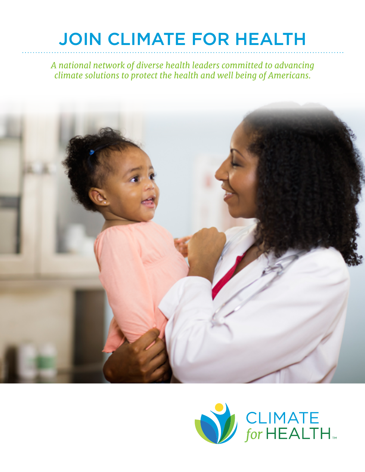# JOIN CLIMATE FOR HEALTH

*A national network of diverse health leaders committed to advancing climate solutions to protect the health and well being of Americans.*



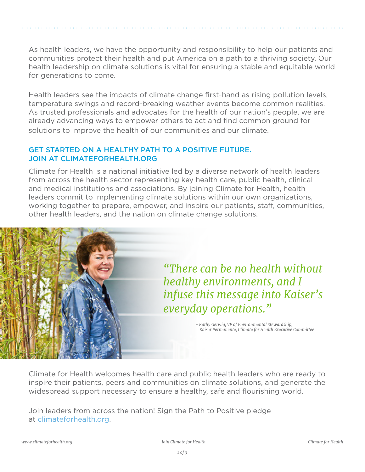As health leaders, we have the opportunity and responsibility to help our patients and communities protect their health and put America on a path to a thriving society. Our health leadership on climate solutions is vital for ensuring a stable and equitable world for generations to come.

Health leaders see the impacts of climate change first-hand as rising pollution levels, temperature swings and record-breaking weather events become common realities. As trusted professionals and advocates for the health of our nation's people, we are already advancing ways to empower others to act and find common ground for solutions to improve the health of our communities and our climate.

## GET STARTED ON A HEALTHY PATH TO A POSITIVE FUTURE. JOIN AT [CLIMATEFORHEALTH.ORG](http://climateforhealth.org)

Climate for Health is a national initiative led by a diverse network of health leaders from across the health sector representing key health care, public health, clinical and medical institutions and associations. By joining Climate for Health, health leaders commit to implementing climate solutions within our own organizations, working together to prepare, empower, and inspire our patients, staff, communities, other health leaders, and the nation on climate change solutions.



*"There can be no health without healthy environments, and I infuse this message into Kaiser's everyday operations."*

> *- Kathy Gerwig, VP of Environmental Stewardship, Kaiser Permanente, Climate for Health Executive Committee*

Climate for Health welcomes health care and public health leaders who are ready to inspire their patients, peers and communities on climate solutions, and generate the widespread support necessary to ensure a healthy, safe and flourishing world.

Join leaders from across the nation! Sign the Path to Positive pledge at [climateforhealth.org](http://climateforhealth.org).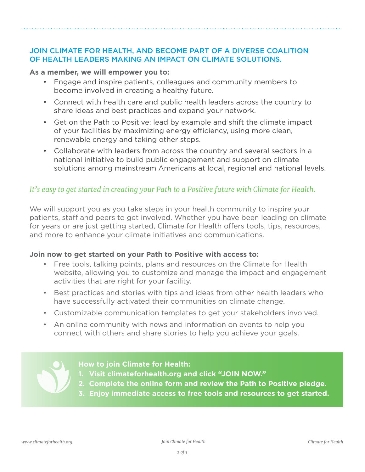## JOIN CLIMATE FOR HEALTH, AND BECOME PART OF A DIVERSE COALITION OF HEALTH LEADERS MAKING AN IMPACT ON CLIMATE SOLUTIONS.

### **As a member, we will empower you to:**

- Engage and inspire patients, colleagues and community members to become involved in creating a healthy future.
- Connect with health care and public health leaders across the country to share ideas and best practices and expand your network.
- Get on the Path to Positive: lead by example and shift the climate impact of your facilities by maximizing energy efficiency, using more clean, renewable energy and taking other steps.
- Collaborate with leaders from across the country and several sectors in a national initiative to build public engagement and support on climate solutions among mainstream Americans at local, regional and national levels.

# *It's easy to get started in creating your Path to a Positive future with Climate for Health.*

We will support you as you take steps in your health community to inspire your patients, staff and peers to get involved. Whether you have been leading on climate for years or are just getting started, Climate for Health offers tools, tips, resources, and more to enhance your climate initiatives and communications.

## **Join now to get started on your Path to Positive with access to:**

- Free tools, talking points, plans and resources on the Climate for Health website, allowing you to customize and manage the impact and engagement activities that are right for your facility.
- Best practices and stories with tips and ideas from other health leaders who have successfully activated their communities on climate change.
- Customizable communication templates to get your stakeholders involved.
- An online community with news and information on events to help you connect with others and share stories to help you achieve your goals.

**How to join Climate for Health:**

- **1. Visit [climateforhealth.org](http://climateforhealth.org) and click "JOIN NOW."**
- **2. Complete the online form and review the Path to Positive pledge.**
- **3. Enjoy immediate access to free tools and resources to get started.**